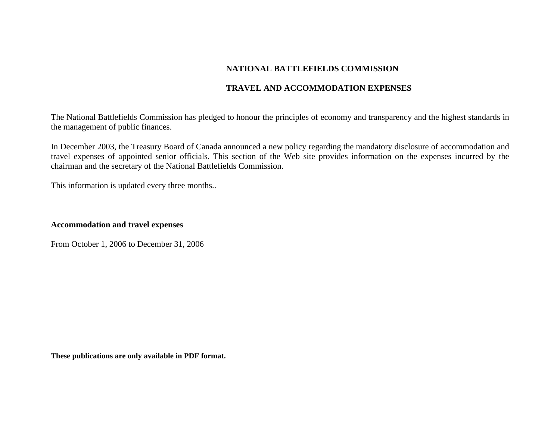# **NATIONAL BATTLEFIELDS COMMISSION**

## **TRAVEL AND ACCOMMODATION EXPENSES**

The National Battlefields Commission has pledged to honour the principles of economy and transparency and the highest standards in the management of public finances.

In December 2003, the Treasury Board of Canada announced a new policy regarding the mandatory disclosure of accommodation and travel expenses of appointed senior officials. This section of the Web site provides information on the expenses incurred by the chairman and the secretary of the National Battlefields Commission.

This information is updated every three months..

### **Accommodation and travel expenses**

From October 1, 2006 to December 31, 2006

**These publications are only available in PDF format.**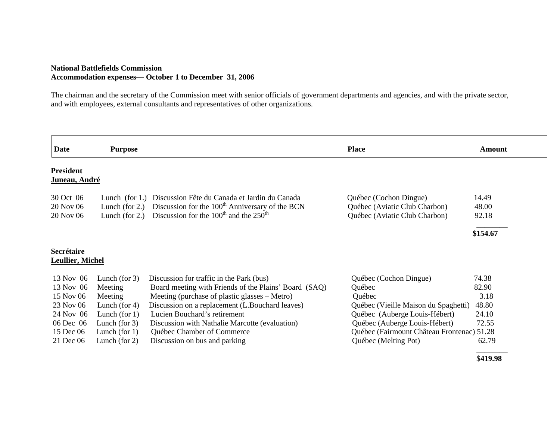### **National Battlefields Commission Accommodation expenses— October 1 to December 31, 2006**

The chairman and the secretary of the Commission meet with senior officials of government departments and agencies, and with the private sector, and with employees, external consultants and representatives of other organizations.

| <b>Date</b>                           | <b>Purpose</b>    |                                                             | <b>Place</b>                               | <b>Amount</b> |
|---------------------------------------|-------------------|-------------------------------------------------------------|--------------------------------------------|---------------|
| <b>President</b><br>Juneau, André     |                   |                                                             |                                            |               |
| 30 Oct 06                             | Lunch $(for 1.)$  | Discussion Fête du Canada et Jardin du Canada               | Québec (Cochon Dingue)                     | 14.49         |
| 20 Nov 06                             | Lunch (for $2$ .) | Discussion for the 100 <sup>th</sup> Anniversary of the BCN | Québec (Aviatic Club Charbon)              | 48.00         |
| 20 Nov 06                             | Lunch (for $2$ .) | Discussion for the $100th$ and the $250th$                  | Québec (Aviatic Club Charbon)              | 92.18         |
|                                       |                   |                                                             |                                            | \$154.67      |
| Secrétaire<br><b>Leullier, Michel</b> |                   |                                                             |                                            |               |
| 13 Nov 06                             | Lunch (for $3$ )  | Discussion for traffic in the Park (bus)                    | Québec (Cochon Dingue)                     | 74.38         |
| 13 Nov 06                             | Meeting           | Board meeting with Friends of the Plains' Board (SAQ)       | Québec                                     | 82.90         |
| 15 Nov 06                             | Meeting           | Meeting (purchase of plastic glasses – Metro)               | Québec                                     | 3.18          |
| 23 Nov 06                             | Lunch (for $4$ )  | Discussion on a replacement (L.Bouchard leaves)             | Québec (Vieille Maison du Spaghetti)       | 48.80         |
| 24 Nov 06                             | Lunch (for $1$ )  | Lucien Bouchard's retirement                                | Québec (Auberge Louis-Hébert)              | 24.10         |
| 06 Dec 06                             | Lunch (for $3$ )  | Discussion with Nathalie Marcotte (evaluation)              | Québec (Auberge Louis-Hébert)              | 72.55         |
| 15 Dec 06                             | Lunch (for $1$ )  | Québec Chamber of Commerce                                  | Québec (Fairmount Château Frontenac) 51.28 |               |
| 21 Dec 06                             | Lunch (for $2$ )  | Discussion on bus and parking                               | Québec (Melting Pot)                       | 62.79         |
|                                       |                   |                                                             |                                            |               |

\$**419.98**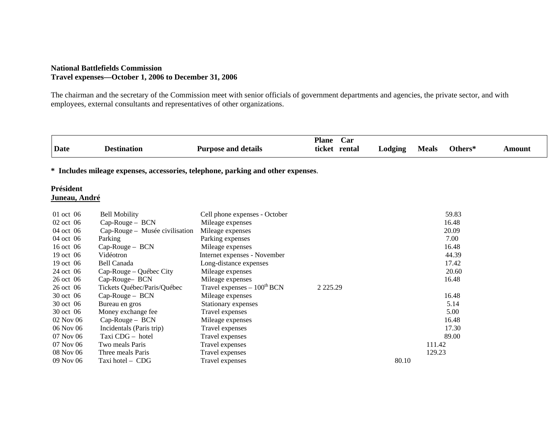### **National Battlefields Commission Travel expenses—October 1, 2006 to December 31, 2006**

The chairman and the secretary of the Commission meet with senior officials of government departments and agencies, the private sector, and with employees, external consultants and representatives of other organizations.

|                                                                                  |                                |                                 | <b>Plane</b>  | Car           |         |              |         |        |
|----------------------------------------------------------------------------------|--------------------------------|---------------------------------|---------------|---------------|---------|--------------|---------|--------|
| Date                                                                             | <b>Destination</b>             | <b>Purpose and details</b>      |               | ticket rental | Lodging | <b>Meals</b> | Others* | Amount |
| * Includes mileage expenses, accessories, telephone, parking and other expenses. |                                |                                 |               |               |         |              |         |        |
| Président<br>Juneau, André                                                       |                                |                                 |               |               |         |              |         |        |
| 01 oct 06                                                                        | <b>Bell Mobility</b>           | Cell phone expenses - October   |               |               |         |              | 59.83   |        |
| 02 oct 06                                                                        | Cap-Rouge - BCN                | Mileage expenses                |               |               |         |              | 16.48   |        |
| 04 oct 06                                                                        | Cap-Rouge – Musée civilisation | Mileage expenses                |               |               |         |              | 20.09   |        |
| 04 oct 06                                                                        | Parking                        | Parking expenses                |               |               |         |              | 7.00    |        |
| 16 oct 06                                                                        | Cap-Rouge - BCN                | Mileage expenses                |               |               |         |              | 16.48   |        |
| 19 oct 06                                                                        | Vidéotron                      | Internet expenses - November    |               |               |         |              | 44.39   |        |
| 19 oct 06                                                                        | Bell Canada                    | Long-distance expenses          |               |               |         |              | 17.42   |        |
| 24 oct 06                                                                        | Cap-Rouge – Québec City        | Mileage expenses                |               |               |         |              | 20.60   |        |
| 26 oct 06                                                                        | Cap-Rouge-BCN                  | Mileage expenses                |               |               |         |              | 16.48   |        |
| 26 oct 06                                                                        | Tickets Québec/Paris/Québec    | Travel expenses $-100^{th}$ BCN | 2 2 2 5 . 2 9 |               |         |              |         |        |
| 30 oct 06                                                                        | Cap-Rouge - BCN                | Mileage expenses                |               |               |         |              | 16.48   |        |
| 30 oct 06                                                                        | Bureau en gros                 | Stationary expenses             |               |               |         |              | 5.14    |        |
| 30 oct 06                                                                        | Money exchange fee             | Travel expenses                 |               |               |         |              | 5.00    |        |
| 02 Nov 06                                                                        | Cap-Rouge - BCN                | Mileage expenses                |               |               |         |              | 16.48   |        |
| 06 Nov 06                                                                        | Incidentals (Paris trip)       | Travel expenses                 |               |               |         |              | 17.30   |        |
| 07 Nov 06                                                                        | Taxi CDG - hotel               | Travel expenses                 |               |               |         |              | 89.00   |        |
| 07 Nov 06                                                                        | Two meals Paris                | Travel expenses                 |               |               |         | 111.42       |         |        |
| 08 Nov 06                                                                        | Three meals Paris              | Travel expenses                 |               |               |         | 129.23       |         |        |
| 09 Nov 06                                                                        | Taxi hotel - CDG               | Travel expenses                 |               |               | 80.10   |              |         |        |